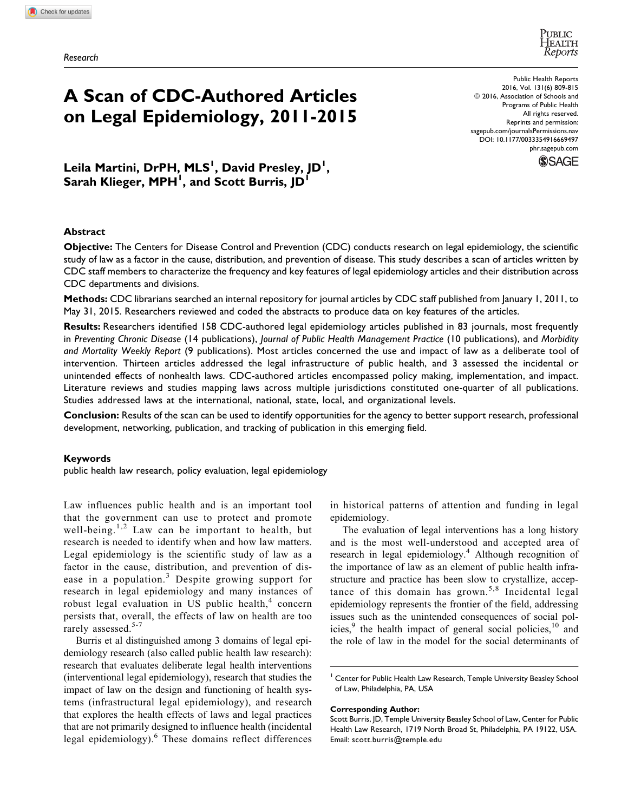Research



# A Scan of CDC-Authored Articles on Legal Epidemiology, 2011-2015

Public Health Reports 2016, Vol. 131(6) 809-815  $@ 2016$ , Association of Schools and Programs of Public Health All rights reserved. Reprints and permission: [sagepub.com/journalsPermissions.nav](http://www.sagepub.com/journalsPermissions.nav) [DOI: 10.1177/0033354916669497](https://doi.org/10.1177/0033354916669497) [phr.sagepub.com](http://phr.sagepub.com)



Leila Martini, DrPH, MLS<sup>I</sup>, David Presley, JD<sup>I</sup>, Sarah Klieger, MPH<sup>1</sup>, and Scott Burris, JD<sup>1</sup>

## Abstract

Objective: The Centers for Disease Control and Prevention (CDC) conducts research on legal epidemiology, the scientific study of law as a factor in the cause, distribution, and prevention of disease. This study describes a scan of articles written by CDC staff members to characterize the frequency and key features of legal epidemiology articles and their distribution across CDC departments and divisions.

Methods: CDC librarians searched an internal repository for journal articles by CDC staff published from January 1, 2011, to May 31, 2015. Researchers reviewed and coded the abstracts to produce data on key features of the articles.

Results: Researchers identified 158 CDC-authored legal epidemiology articles published in 83 journals, most frequently in Preventing Chronic Disease (14 publications), Journal of Public Health Management Practice (10 publications), and Morbidity and Mortality Weekly Report (9 publications). Most articles concerned the use and impact of law as a deliberate tool of intervention. Thirteen articles addressed the legal infrastructure of public health, and 3 assessed the incidental or unintended effects of nonhealth laws. CDC-authored articles encompassed policy making, implementation, and impact. Literature reviews and studies mapping laws across multiple jurisdictions constituted one-quarter of all publications. Studies addressed laws at the international, national, state, local, and organizational levels.

Conclusion: Results of the scan can be used to identify opportunities for the agency to better support research, professional development, networking, publication, and tracking of publication in this emerging field.

#### Keywords

public health law research, policy evaluation, legal epidemiology

Law influences public health and is an important tool that the government can use to protect and promote well-being.<sup>1,2</sup> Law can be important to health, but research is needed to identify when and how law matters. Legal epidemiology is the scientific study of law as a factor in the cause, distribution, and prevention of disease in a population.<sup>3</sup> Despite growing support for research in legal epidemiology and many instances of robust legal evaluation in US public health,<sup>4</sup> concern persists that, overall, the effects of law on health are too rarely assessed.<sup>5-7</sup>

Burris et al distinguished among 3 domains of legal epidemiology research (also called public health law research): research that evaluates deliberate legal health interventions (interventional legal epidemiology), research that studies the impact of law on the design and functioning of health systems (infrastructural legal epidemiology), and research that explores the health effects of laws and legal practices that are not primarily designed to influence health (incidental legal epidemiology).<sup>6</sup> These domains reflect differences in historical patterns of attention and funding in legal epidemiology.

The evaluation of legal interventions has a long history and is the most well-understood and accepted area of research in legal epidemiology.<sup>4</sup> Although recognition of the importance of law as an element of public health infrastructure and practice has been slow to crystallize, acceptance of this domain has grown.<sup>5,8</sup> Incidental legal epidemiology represents the frontier of the field, addressing issues such as the unintended consequences of social policies, $9$  the health impact of general social policies, $10$  and the role of law in the model for the social determinants of

#### Corresponding Author:

<sup>&</sup>lt;sup>1</sup> Center for Public Health Law Research, Temple University Beasley School of Law, Philadelphia, PA, USA

Scott Burris, JD, Temple University Beasley School of Law, Center for Public Health Law Research, 1719 North Broad St, Philadelphia, PA 19122, USA. Email: [scott.burris@temple.edu](mailto:scott.burris@temple.edu)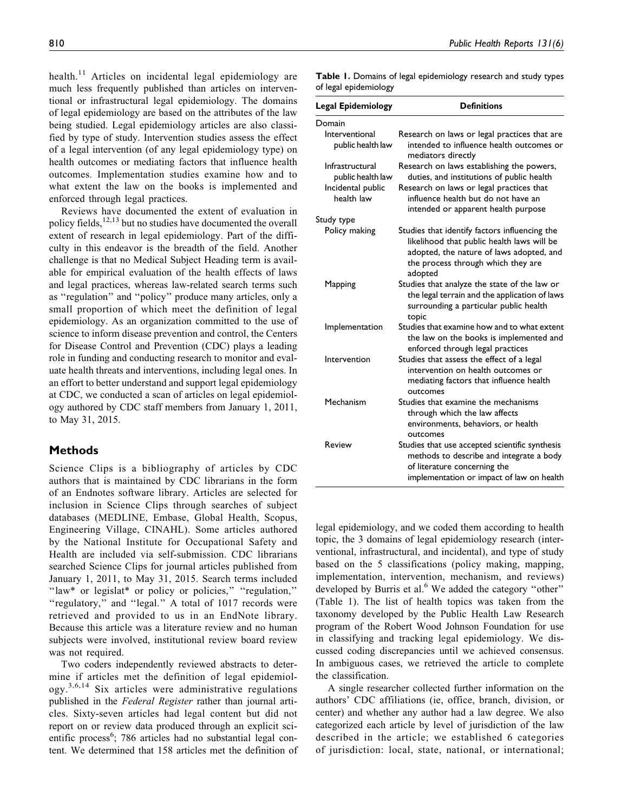health. $11$  Articles on incidental legal epidemiology are much less frequently published than articles on interventional or infrastructural legal epidemiology. The domains of legal epidemiology are based on the attributes of the law being studied. Legal epidemiology articles are also classified by type of study. Intervention studies assess the effect of a legal intervention (of any legal epidemiology type) on health outcomes or mediating factors that influence health outcomes. Implementation studies examine how and to what extent the law on the books is implemented and enforced through legal practices.

Reviews have documented the extent of evaluation in policy fields, $12,13$  but no studies have documented the overall extent of research in legal epidemiology. Part of the difficulty in this endeavor is the breadth of the field. Another challenge is that no Medical Subject Heading term is available for empirical evaluation of the health effects of laws and legal practices, whereas law-related search terms such as ''regulation'' and ''policy'' produce many articles, only a small proportion of which meet the definition of legal epidemiology. As an organization committed to the use of science to inform disease prevention and control, the Centers for Disease Control and Prevention (CDC) plays a leading role in funding and conducting research to monitor and evaluate health threats and interventions, including legal ones. In an effort to better understand and support legal epidemiology at CDC, we conducted a scan of articles on legal epidemiology authored by CDC staff members from January 1, 2011, to May 31, 2015.

# Methods

Science Clips is a bibliography of articles by CDC authors that is maintained by CDC librarians in the form of an Endnotes software library. Articles are selected for inclusion in Science Clips through searches of subject databases (MEDLINE, Embase, Global Health, Scopus, Engineering Village, CINAHL). Some articles authored by the National Institute for Occupational Safety and Health are included via self-submission. CDC librarians searched Science Clips for journal articles published from January 1, 2011, to May 31, 2015. Search terms included "law\* or legislat\* or policy or policies," "regulation," "regulatory," and "legal." A total of 1017 records were retrieved and provided to us in an EndNote library. Because this article was a literature review and no human subjects were involved, institutional review board review was not required.

Two coders independently reviewed abstracts to determine if articles met the definition of legal epidemiol $ogy^{3,6,14}$  Six articles were administrative regulations published in the Federal Register rather than journal articles. Sixty-seven articles had legal content but did not report on or review data produced through an explicit scientific process<sup>6</sup>; 786 articles had no substantial legal content. We determined that 158 articles met the definition of Table 1. Domains of legal epidemiology research and study types of legal epidemiology

| <b>Legal Epidemiology</b>                                               | <b>Definitions</b>                                                                                                                                                                                               |
|-------------------------------------------------------------------------|------------------------------------------------------------------------------------------------------------------------------------------------------------------------------------------------------------------|
| Domain                                                                  |                                                                                                                                                                                                                  |
| Interventional<br>public health law                                     | Research on laws or legal practices that are<br>intended to influence health outcomes or<br>mediators directly                                                                                                   |
| Infrastructural<br>public health law<br>Incidental public<br>health law | Research on laws establishing the powers,<br>duties, and institutions of public health<br>Research on laws or legal practices that<br>influence health but do not have an<br>intended or apparent health purpose |
| Study type                                                              |                                                                                                                                                                                                                  |
| Policy making                                                           | Studies that identify factors influencing the<br>likelihood that public health laws will be<br>adopted, the nature of laws adopted, and<br>the process through which they are<br>adopted                         |
| Mapping                                                                 | Studies that analyze the state of the law or<br>the legal terrain and the application of laws<br>surrounding a particular public health<br>topic                                                                 |
| Implementation                                                          | Studies that examine how and to what extent<br>the law on the books is implemented and<br>enforced through legal practices                                                                                       |
| Intervention                                                            | Studies that assess the effect of a legal<br>intervention on health outcomes or<br>mediating factors that influence health<br>outcomes                                                                           |
| Mechanism                                                               | Studies that examine the mechanisms<br>through which the law affects<br>environments, behaviors, or health<br>outcomes                                                                                           |
| Review                                                                  | Studies that use accepted scientific synthesis<br>methods to describe and integrate a body<br>of literature concerning the<br>implementation or impact of law on health                                          |

legal epidemiology, and we coded them according to health topic, the 3 domains of legal epidemiology research (interventional, infrastructural, and incidental), and type of study based on the 5 classifications (policy making, mapping, implementation, intervention, mechanism, and reviews) developed by Burris et al. $<sup>6</sup>$  We added the category "other"</sup> (Table 1). The list of health topics was taken from the taxonomy developed by the Public Health Law Research program of the Robert Wood Johnson Foundation for use in classifying and tracking legal epidemiology. We discussed coding discrepancies until we achieved consensus. In ambiguous cases, we retrieved the article to complete the classification.

A single researcher collected further information on the authors' CDC affiliations (ie, office, branch, division, or center) and whether any author had a law degree. We also categorized each article by level of jurisdiction of the law described in the article; we established 6 categories of jurisdiction: local, state, national, or international;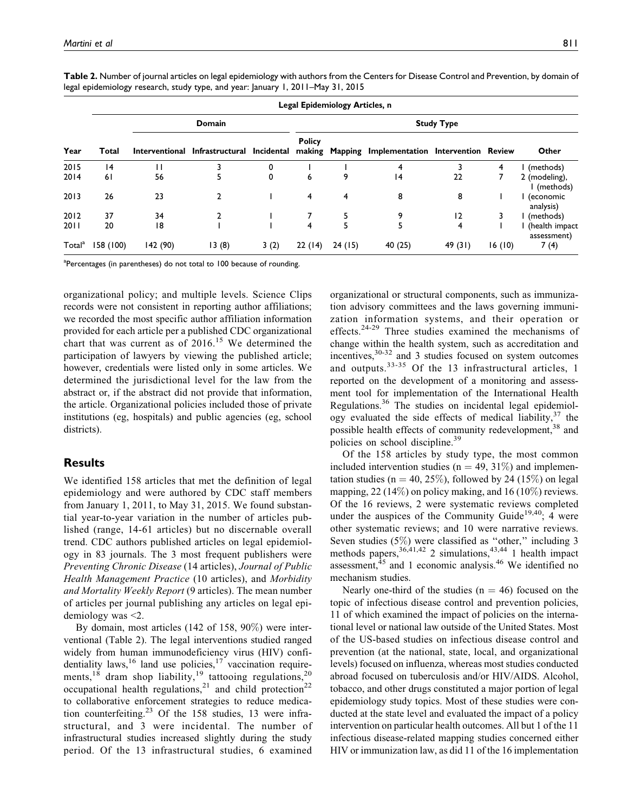|                    | Legal Epidemiology Articles, n |                       |                            |      |                   |        |                                                   |         |        |                               |  |
|--------------------|--------------------------------|-----------------------|----------------------------|------|-------------------|--------|---------------------------------------------------|---------|--------|-------------------------------|--|
| Year               | Total                          | Domain                |                            |      | <b>Study Type</b> |        |                                                   |         |        |                               |  |
|                    |                                | <b>Interventional</b> | Infrastructural Incidental |      | <b>Policy</b>     |        | making Mapping Implementation Intervention Review |         |        | Other                         |  |
| 2015               | 4                              |                       |                            | 0    |                   |        | 4                                                 |         | 4      | (methods)                     |  |
| 2014               | 61                             | 56                    | 5                          | 0    | 6                 | 9      | 4                                                 | 22      |        | 2 (modeling),<br>(methods)    |  |
| 2013               | 26                             | 23                    | 2                          |      | $\overline{4}$    | 4      | 8                                                 | 8       |        | (economic<br>analysis)        |  |
| 2012               | 37                             | 34                    |                            |      |                   | 5      | 9                                                 | 12      | 3      | (methods)                     |  |
| 2011               | 20                             | 18                    |                            |      | 4                 | 5      | 5                                                 | 4       |        | (health impact<br>assessment) |  |
| Total <sup>a</sup> | 158(100)                       | 142(90)               | 13(8)                      | 3(2) | 22(14)            | 24(15) | 40 (25)                                           | 49 (31) | 16(10) | 7(4)                          |  |

Table 2. Number of journal articles on legal epidemiology with authors from the Centers for Disease Control and Prevention, by domain of legal epidemiology research, study type, and year: January 1, 2011–May 31, 2015

<sup>a</sup>Percentages (in parentheses) do not total to 100 because of rounding.

organizational policy; and multiple levels. Science Clips records were not consistent in reporting author affiliations; we recorded the most specific author affiliation information provided for each article per a published CDC organizational chart that was current as of  $2016$ .<sup>15</sup> We determined the participation of lawyers by viewing the published article; however, credentials were listed only in some articles. We determined the jurisdictional level for the law from the abstract or, if the abstract did not provide that information, the article. Organizational policies included those of private institutions (eg, hospitals) and public agencies (eg, school districts).

## Results

We identified 158 articles that met the definition of legal epidemiology and were authored by CDC staff members from January 1, 2011, to May 31, 2015. We found substantial year-to-year variation in the number of articles published (range, 14-61 articles) but no discernable overall trend. CDC authors published articles on legal epidemiology in 83 journals. The 3 most frequent publishers were Preventing Chronic Disease (14 articles), Journal of Public Health Management Practice (10 articles), and Morbidity and Mortality Weekly Report (9 articles). The mean number of articles per journal publishing any articles on legal epidemiology was <2.

By domain, most articles (142 of 158, 90%) were interventional (Table 2). The legal interventions studied ranged widely from human immunodeficiency virus (HIV) confidentiality laws,<sup>16</sup> land use policies,<sup>17</sup> vaccination requirements,<sup>18</sup> dram shop liability,<sup>19</sup> tattooing regulations,<sup>20</sup> occupational health regulations,<sup>21</sup> and child protection<sup>22</sup> to collaborative enforcement strategies to reduce medication counterfeiting.<sup>23</sup> Of the 158 studies, 13 were infrastructural, and 3 were incidental. The number of infrastructural studies increased slightly during the study period. Of the 13 infrastructural studies, 6 examined

organizational or structural components, such as immunization advisory committees and the laws governing immunization information systems, and their operation or effects.<sup>24-29</sup> Three studies examined the mechanisms of change within the health system, such as accreditation and incentives,  $30-32$  and 3 studies focused on system outcomes and outputs.<sup>33-35</sup> Of the 13 infrastructural articles, 1 reported on the development of a monitoring and assessment tool for implementation of the International Health Regulations.<sup>36</sup> The studies on incidental legal epidemiology evaluated the side effects of medical liability,  $37$  the possible health effects of community redevelopment,<sup>38</sup> and policies on school discipline.<sup>39</sup>

Of the 158 articles by study type, the most common included intervention studies ( $n = 49, 31\%$ ) and implementation studies ( $n = 40, 25\%$ ), followed by 24 (15%) on legal mapping, 22 (14%) on policy making, and 16 (10%) reviews. Of the 16 reviews, 2 were systematic reviews completed under the auspices of the Community Guide<sup>19,40</sup>; 4 were other systematic reviews; and 10 were narrative reviews. Seven studies (5%) were classified as ''other,'' including 3 methods papers,  $36,41,42$  2 simulations,  $43,44$  1 health impact assessment, $45$  and 1 economic analysis.<sup>46</sup> We identified no mechanism studies.

Nearly one-third of the studies ( $n = 46$ ) focused on the topic of infectious disease control and prevention policies, 11 of which examined the impact of policies on the international level or national law outside of the United States. Most of the US-based studies on infectious disease control and prevention (at the national, state, local, and organizational levels) focused on influenza, whereas most studies conducted abroad focused on tuberculosis and/or HIV/AIDS. Alcohol, tobacco, and other drugs constituted a major portion of legal epidemiology study topics. Most of these studies were conducted at the state level and evaluated the impact of a policy intervention on particular health outcomes. All but 1 of the 11 infectious disease-related mapping studies concerned either HIV or immunization law, as did 11 of the 16 implementation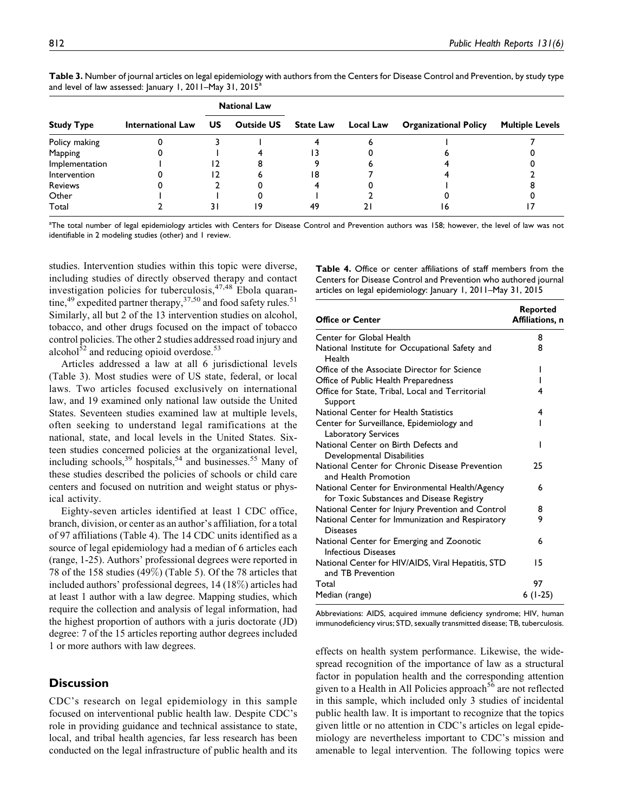National Law Study Type International Law US Outside US State Law Local Law Organizational Policy Multiple Levels Policy making 0 3 1 4 6 1 7 Mapping 0 1 4 13 0 6 0 1 12 8 9 6 4 0<br>11 12 8 9 6 4 0<br>12 6 18 7 4 2 Intervention 0 12 6 18 7 4 2 Reviews 0 2 0 4 0 1 8 Other 1 1 0 1 2 0 0 Total 2 31 19 49 21 16 17

Table 3. Number of journal articles on legal epidemiology with authors from the Centers for Disease Control and Prevention, by study type and level of law assessed: January 1, 2011-May 31, 2015<sup>a</sup>

<sup>a</sup>The total number of legal epidemiology articles with Centers for Disease Control and Prevention authors was 158; however, the level of law was not identifiable in 2 modeling studies (other) and 1 review.

studies. Intervention studies within this topic were diverse, including studies of directly observed therapy and contact investigation policies for tuberculosis,<sup>47,48</sup> Ebola quarantine,<sup>49</sup> expedited partner therapy, $37,50$  and food safety rules.<sup>51</sup> Similarly, all but 2 of the 13 intervention studies on alcohol, tobacco, and other drugs focused on the impact of tobacco control policies. The other 2 studies addressed road injury and alcohol $^{52}$  and reducing opioid overdose.<sup>53</sup>

Articles addressed a law at all 6 jurisdictional levels (Table 3). Most studies were of US state, federal, or local laws. Two articles focused exclusively on international law, and 19 examined only national law outside the United States. Seventeen studies examined law at multiple levels, often seeking to understand legal ramifications at the national, state, and local levels in the United States. Sixteen studies concerned policies at the organizational level, including schools,  $39$  hospitals,  $54$  and businesses.  $55$  Many of these studies described the policies of schools or child care centers and focused on nutrition and weight status or physical activity.

Eighty-seven articles identified at least 1 CDC office, branch, division, or center as an author's affiliation, for a total of 97 affiliations (Table 4). The 14 CDC units identified as a source of legal epidemiology had a median of 6 articles each (range, 1-25). Authors' professional degrees were reported in 78 of the 158 studies (49%) (Table 5). Of the 78 articles that included authors' professional degrees, 14 (18%) articles had at least 1 author with a law degree. Mapping studies, which require the collection and analysis of legal information, had the highest proportion of authors with a juris doctorate (JD) degree: 7 of the 15 articles reporting author degrees included 1 or more authors with law degrees.

# **Discussion**

CDC's research on legal epidemiology in this sample focused on interventional public health law. Despite CDC's role in providing guidance and technical assistance to state, local, and tribal health agencies, far less research has been conducted on the legal infrastructure of public health and its

Table 4. Office or center affiliations of staff members from the Centers for Disease Control and Prevention who authored journal articles on legal epidemiology: January 1, 2011–May 31, 2015

| <b>Office or Center</b>                                                                      | Reported<br>Affiliations, n |
|----------------------------------------------------------------------------------------------|-----------------------------|
| Center for Global Health                                                                     | 8                           |
| National Institute for Occupational Safety and<br>Health                                     | 8                           |
| Office of the Associate Director for Science                                                 |                             |
| Office of Public Health Preparedness                                                         |                             |
| Office for State, Tribal, Local and Territorial<br>Support                                   | 4                           |
| National Center for Health Statistics                                                        | 4                           |
| Center for Surveillance, Epidemiology and<br>Laboratory Services                             |                             |
| National Center on Birth Defects and<br>Developmental Disabilities                           |                             |
| National Center for Chronic Disease Prevention<br>and Health Promotion                       | 25                          |
| National Center for Environmental Health/Agency<br>for Toxic Substances and Disease Registry | 6                           |
| National Center for Injury Prevention and Control                                            | 8                           |
| National Center for Immunization and Respiratory<br>Diseases                                 | 9                           |
| National Center for Emerging and Zoonotic<br>Infectious Diseases                             | 6                           |
| National Center for HIV/AIDS, Viral Hepatitis, STD<br>and TB Prevention                      | 15                          |
| Total                                                                                        | 97                          |
| Median (range)                                                                               | 6 (1-25)                    |

Abbreviations: AIDS, acquired immune deficiency syndrome; HIV, human immunodeficiency virus; STD, sexually transmitted disease; TB, tuberculosis.

effects on health system performance. Likewise, the widespread recognition of the importance of law as a structural factor in population health and the corresponding attention given to a Health in All Policies approach<sup>56</sup> are not reflected in this sample, which included only 3 studies of incidental public health law. It is important to recognize that the topics given little or no attention in CDC's articles on legal epidemiology are nevertheless important to CDC's mission and amenable to legal intervention. The following topics were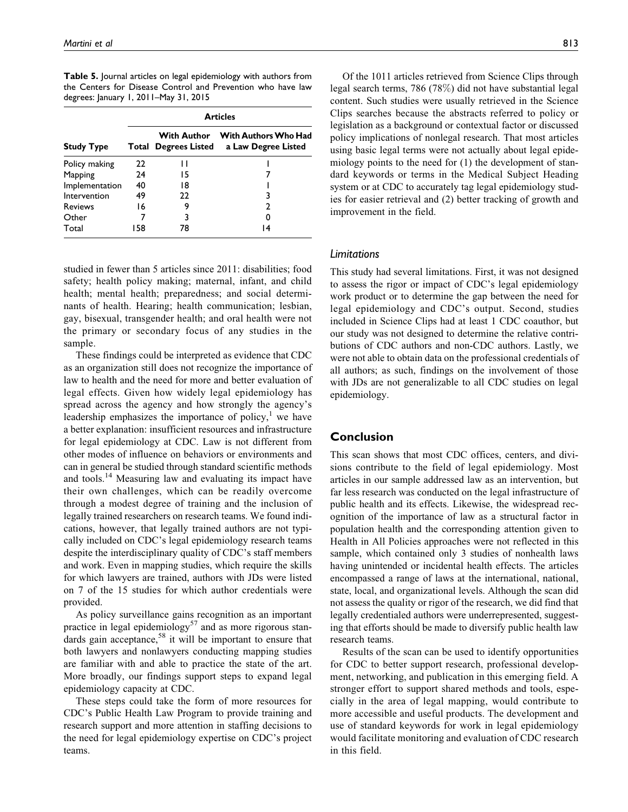Table 5. Journal articles on legal epidemiology with authors from the Centers for Disease Control and Prevention who have law degrees: January 1, 2011–May 31, 2015

|                   | <b>Articles</b> |    |                                                                              |  |  |  |
|-------------------|-----------------|----|------------------------------------------------------------------------------|--|--|--|
| <b>Study Type</b> |                 |    | With Author With Authors Who Had<br>Total Degrees Listed a Law Degree Listed |  |  |  |
| Policy making     | 22              | Н  |                                                                              |  |  |  |
| Mapping           | 24              | 15 |                                                                              |  |  |  |
| Implementation    | 40              | 18 |                                                                              |  |  |  |
| Intervention      | 49              | 22 | 3                                                                            |  |  |  |
| Reviews           | 16              | 9  | 2                                                                            |  |  |  |
| Other             | 7               |    | o                                                                            |  |  |  |
| Total             | 158             | 78 | 14                                                                           |  |  |  |

studied in fewer than 5 articles since 2011: disabilities; food safety; health policy making; maternal, infant, and child health; mental health; preparedness; and social determinants of health. Hearing; health communication; lesbian, gay, bisexual, transgender health; and oral health were not the primary or secondary focus of any studies in the sample.

These findings could be interpreted as evidence that CDC as an organization still does not recognize the importance of law to health and the need for more and better evaluation of legal effects. Given how widely legal epidemiology has spread across the agency and how strongly the agency's leadership emphasizes the importance of policy, $\frac{1}{1}$  we have a better explanation: insufficient resources and infrastructure for legal epidemiology at CDC. Law is not different from other modes of influence on behaviors or environments and can in general be studied through standard scientific methods and tools.14 Measuring law and evaluating its impact have their own challenges, which can be readily overcome through a modest degree of training and the inclusion of legally trained researchers on research teams. We found indications, however, that legally trained authors are not typically included on CDC's legal epidemiology research teams despite the interdisciplinary quality of CDC's staff members and work. Even in mapping studies, which require the skills for which lawyers are trained, authors with JDs were listed on 7 of the 15 studies for which author credentials were provided.

As policy surveillance gains recognition as an important practice in legal epidemiology<sup>57</sup> and as more rigorous standards gain acceptance,  $58$  it will be important to ensure that both lawyers and nonlawyers conducting mapping studies are familiar with and able to practice the state of the art. More broadly, our findings support steps to expand legal epidemiology capacity at CDC.

These steps could take the form of more resources for CDC's Public Health Law Program to provide training and research support and more attention in staffing decisions to the need for legal epidemiology expertise on CDC's project teams.

Of the 1011 articles retrieved from Science Clips through legal search terms, 786 (78%) did not have substantial legal content. Such studies were usually retrieved in the Science Clips searches because the abstracts referred to policy or legislation as a background or contextual factor or discussed policy implications of nonlegal research. That most articles using basic legal terms were not actually about legal epidemiology points to the need for (1) the development of standard keywords or terms in the Medical Subject Heading system or at CDC to accurately tag legal epidemiology studies for easier retrieval and (2) better tracking of growth and improvement in the field.

#### Limitations

This study had several limitations. First, it was not designed to assess the rigor or impact of CDC's legal epidemiology work product or to determine the gap between the need for legal epidemiology and CDC's output. Second, studies included in Science Clips had at least 1 CDC coauthor, but our study was not designed to determine the relative contributions of CDC authors and non-CDC authors. Lastly, we were not able to obtain data on the professional credentials of all authors; as such, findings on the involvement of those with JDs are not generalizable to all CDC studies on legal epidemiology.

# Conclusion

This scan shows that most CDC offices, centers, and divisions contribute to the field of legal epidemiology. Most articles in our sample addressed law as an intervention, but far less research was conducted on the legal infrastructure of public health and its effects. Likewise, the widespread recognition of the importance of law as a structural factor in population health and the corresponding attention given to Health in All Policies approaches were not reflected in this sample, which contained only 3 studies of nonhealth laws having unintended or incidental health effects. The articles encompassed a range of laws at the international, national, state, local, and organizational levels. Although the scan did not assess the quality or rigor of the research, we did find that legally credentialed authors were underrepresented, suggesting that efforts should be made to diversify public health law research teams.

Results of the scan can be used to identify opportunities for CDC to better support research, professional development, networking, and publication in this emerging field. A stronger effort to support shared methods and tools, especially in the area of legal mapping, would contribute to more accessible and useful products. The development and use of standard keywords for work in legal epidemiology would facilitate monitoring and evaluation of CDC research in this field.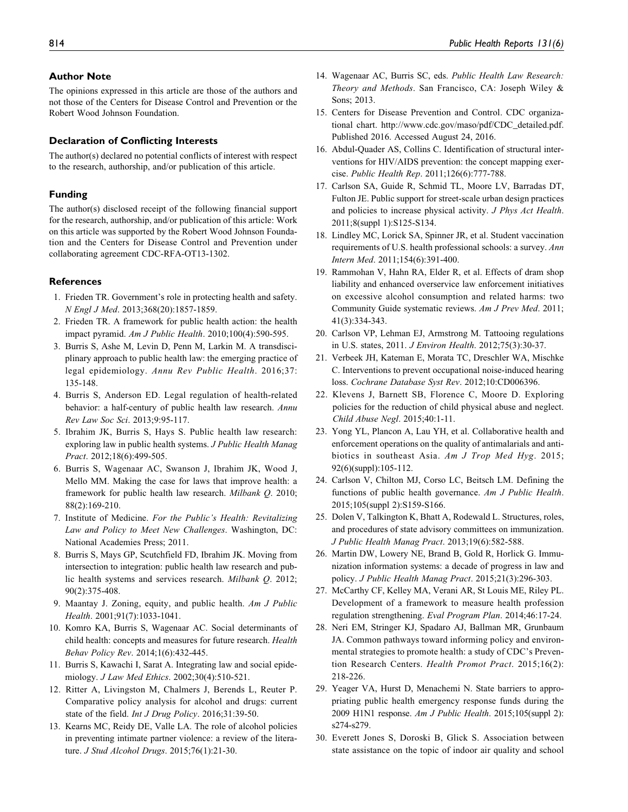## Author Note

The opinions expressed in this article are those of the authors and not those of the Centers for Disease Control and Prevention or the Robert Wood Johnson Foundation.

## Declaration of Conflicting Interests

The author(s) declared no potential conflicts of interest with respect to the research, authorship, and/or publication of this article.

#### Funding

The author(s) disclosed receipt of the following financial support for the research, authorship, and/or publication of this article: Work on this article was supported by the Robert Wood Johnson Foundation and the Centers for Disease Control and Prevention under collaborating agreement CDC-RFA-OT13-1302.

#### **References**

- 1. Frieden TR. Government's role in protecting health and safety. N Engl J Med. 2013;368(20):1857-1859.
- 2. Frieden TR. A framework for public health action: the health impact pyramid. Am J Public Health. 2010;100(4):590-595.
- 3. Burris S, Ashe M, Levin D, Penn M, Larkin M. A transdisciplinary approach to public health law: the emerging practice of legal epidemiology. Annu Rev Public Health. 2016;37: 135-148.
- 4. Burris S, Anderson ED. Legal regulation of health-related behavior: a half-century of public health law research. Annu Rev Law Soc Sci. 2013;9:95-117.
- 5. Ibrahim JK, Burris S, Hays S. Public health law research: exploring law in public health systems. J Public Health Manag Pract. 2012;18(6):499-505.
- 6. Burris S, Wagenaar AC, Swanson J, Ibrahim JK, Wood J, Mello MM. Making the case for laws that improve health: a framework for public health law research. Milbank Q. 2010; 88(2):169-210.
- 7. Institute of Medicine. For the Public's Health: Revitalizing Law and Policy to Meet New Challenges. Washington, DC: National Academies Press; 2011.
- 8. Burris S, Mays GP, Scutchfield FD, Ibrahim JK. Moving from intersection to integration: public health law research and public health systems and services research. Milbank Q. 2012; 90(2):375-408.
- 9. Maantay J. Zoning, equity, and public health. Am J Public Health. 2001;91(7):1033-1041.
- 10. Komro KA, Burris S, Wagenaar AC. Social determinants of child health: concepts and measures for future research. Health Behav Policy Rev. 2014;1(6):432-445.
- 11. Burris S, Kawachi I, Sarat A. Integrating law and social epidemiology. J Law Med Ethics. 2002;30(4):510-521.
- 12. Ritter A, Livingston M, Chalmers J, Berends L, Reuter P. Comparative policy analysis for alcohol and drugs: current state of the field. *Int J Drug Policy*. 2016;31:39-50.
- 13. Kearns MC, Reidy DE, Valle LA. The role of alcohol policies in preventing intimate partner violence: a review of the literature. J Stud Alcohol Drugs. 2015;76(1):21-30.
- 14. Wagenaar AC, Burris SC, eds. Public Health Law Research: Theory and Methods. San Francisco, CA: Joseph Wiley & Sons; 2013.
- 15. Centers for Disease Prevention and Control. CDC organizational chart. [http://www.cdc.gov/maso/pdf/CDC\\_detailed.pdf.](http://www.cdc.gov/maso/pdf/CDC_detailed.pdf) Published 2016. Accessed August 24, 2016.
- 16. Abdul-Quader AS, Collins C. Identification of structural interventions for HIV/AIDS prevention: the concept mapping exercise. Public Health Rep. 2011;126(6):777-788.
- 17. Carlson SA, Guide R, Schmid TL, Moore LV, Barradas DT, Fulton JE. Public support for street-scale urban design practices and policies to increase physical activity. J Phys Act Health. 2011;8(suppl 1):S125-S134.
- 18. Lindley MC, Lorick SA, Spinner JR, et al. Student vaccination requirements of U.S. health professional schools: a survey. Ann Intern Med. 2011;154(6):391-400.
- 19. Rammohan V, Hahn RA, Elder R, et al. Effects of dram shop liability and enhanced overservice law enforcement initiatives on excessive alcohol consumption and related harms: two Community Guide systematic reviews. Am J Prev Med. 2011; 41(3):334-343.
- 20. Carlson VP, Lehman EJ, Armstrong M. Tattooing regulations in U.S. states, 2011. J Environ Health. 2012;75(3):30-37.
- 21. Verbeek JH, Kateman E, Morata TC, Dreschler WA, Mischke C. Interventions to prevent occupational noise-induced hearing loss. Cochrane Database Syst Rev. 2012;10:CD006396.
- 22. Klevens J, Barnett SB, Florence C, Moore D. Exploring policies for the reduction of child physical abuse and neglect. Child Abuse Negl. 2015;40:1-11.
- 23. Yong YL, Plancon A, Lau YH, et al. Collaborative health and enforcement operations on the quality of antimalarials and antibiotics in southeast Asia. Am J Trop Med Hyg. 2015; 92(6)(suppl):105-112.
- 24. Carlson V, Chilton MJ, Corso LC, Beitsch LM. Defining the functions of public health governance. Am J Public Health. 2015;105(suppl 2):S159-S166.
- 25. Dolen V, Talkington K, Bhatt A, Rodewald L. Structures, roles, and procedures of state advisory committees on immunization. J Public Health Manag Pract. 2013;19(6):582-588.
- 26. Martin DW, Lowery NE, Brand B, Gold R, Horlick G. Immunization information systems: a decade of progress in law and policy. J Public Health Manag Pract. 2015;21(3):296-303.
- 27. McCarthy CF, Kelley MA, Verani AR, St Louis ME, Riley PL. Development of a framework to measure health profession regulation strengthening. Eval Program Plan. 2014;46:17-24.
- 28. Neri EM, Stringer KJ, Spadaro AJ, Ballman MR, Grunbaum JA. Common pathways toward informing policy and environmental strategies to promote health: a study of CDC's Prevention Research Centers. Health Promot Pract. 2015;16(2): 218-226.
- 29. Yeager VA, Hurst D, Menachemi N. State barriers to appropriating public health emergency response funds during the 2009 H1N1 response. Am J Public Health. 2015;105(suppl 2): s274-s279.
- 30. Everett Jones S, Doroski B, Glick S. Association between state assistance on the topic of indoor air quality and school